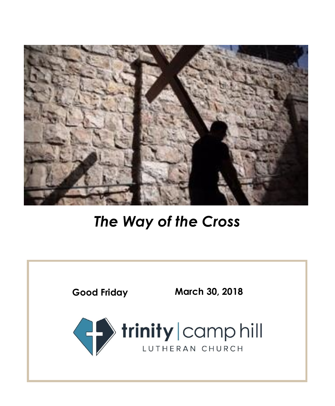

# *The Way of the Cross*

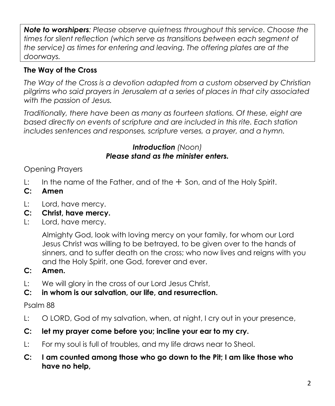*Note to worshipers: Please observe quietness throughout this service. Choose the times for silent reflection (which serve as transitions between each segment of the service) as times for entering and leaving. The offering plates are at the doorways.*

# **The Way of the Cross**

*The Way of the Cross is a devotion adapted from a custom observed by Christian pilgrims who said prayers in Jerusalem at a series of places in that city associated with the passion of Jesus.*

*Traditionally, there have been as many as fourteen stations. Of these, eight are based directly on events of scripture and are included in this rite. Each station includes sentences and responses, scripture verses, a prayer, and a hymn.*

## *Introduction (Noon) Please stand as the minister enters.*

Opening Prayers

- L: In the name of the Father, and of the  $+$  Son, and of the Holy Spirit.
- **C: Amen**
- L: Lord, have mercy.
- **C: Christ, have mercy.**
- L: Lord, have mercy.

Almighty God, look with loving mercy on your family, for whom our Lord Jesus Christ was willing to be betrayed, to be given over to the hands of sinners, and to suffer death on the cross; who now lives and reigns with you and the Holy Spirit, one God, forever and ever.

#### **C: Amen.**

L: We will glory in the cross of our Lord Jesus Christ,

#### **C: in whom is our salvation, our life, and resurrection.**

Psalm 88

- L: O LORD, God of my salvation, when, at night, I cry out in your presence,
- **C: let my prayer come before you; incline your ear to my cry.**
- L: For my soul is full of troubles, and my life draws near to Sheol.
- **C: I am counted among those who go down to the Pit; I am like those who have no help,**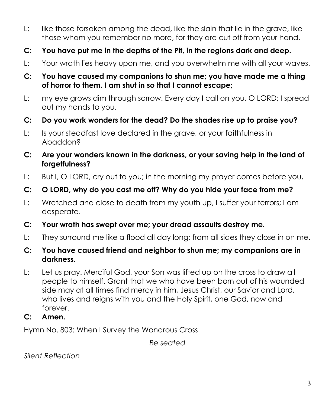- L: like those forsaken among the dead, like the slain that lie in the grave, like those whom you remember no more, for they are cut off from your hand.
- **C: You have put me in the depths of the Pit, in the regions dark and deep.**
- L: Your wrath lies heavy upon me, and you overwhelm me with all your waves.
- **C: You have caused my companions to shun me; you have made me a thing of horror to them. I am shut in so that I cannot escape;**
- L: my eye grows dim through sorrow. Every day I call on you, O LORD; I spread out my hands to you.
- **C: Do you work wonders for the dead? Do the shades rise up to praise you?**
- L: Is your steadfast love declared in the grave, or your faithfulness in Abaddon?
- **C: Are your wonders known in the darkness, or your saving help in the land of forgetfulness?**
- L: But I, O LORD, cry out to you; in the morning my prayer comes before you.
- **C: O LORD, why do you cast me off? Why do you hide your face from me?**
- L: Wretched and close to death from my youth up, I suffer your terrors; I am desperate.
- **C: Your wrath has swept over me; your dread assaults destroy me.**
- L: They surround me like a flood all day long; from all sides they close in on me.
- **C: You have caused friend and neighbor to shun me; my companions are in darkness.**
- L: Let us pray. Merciful God, your Son was lifted up on the cross to draw all people to himself. Grant that we who have been born out of his wounded side may at all times find mercy in him, Jesus Christ, our Savior and Lord, who lives and reigns with you and the Holy Spirit, one God, now and forever.
- **C: Amen.**

Hymn No. 803: When I Survey the Wondrous Cross

*Be seated*

*Silent Reflection*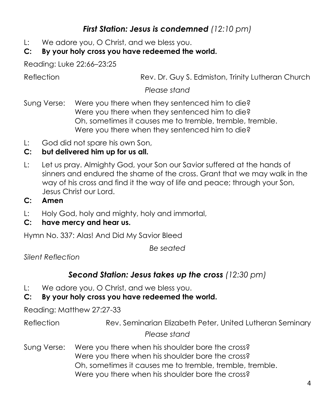# *First Station: Jesus is condemned (12:10 pm)*

L: We adore you, O Christ, and we bless you.

## **C: By your holy cross you have redeemed the world.**

Reading: Luke 22:66–23:25

Reflection Rev. Dr. Guy S. Edmiston, Trinity Lutheran Church

*Please stand*

- Sung Verse: Were you there when they sentenced him to die? Were you there when they sentenced him to die? Oh, sometimes it causes me to tremble, tremble, tremble. Were you there when they sentenced him to die?
- L: God did not spare his own Son,

# **C: but delivered him up for us all.**

L: Let us pray. Almighty God, your Son our Savior suffered at the hands of sinners and endured the shame of the cross. Grant that we may walk in the way of his cross and find it the way of life and peace; through your Son, Jesus Christ our Lord.

# **C: Amen**

- L: Holy God, holy and mighty, holy and immortal,
- **C: have mercy and hear us.**

Hymn No. 337: Alas! And Did My Savior Bleed

*Be seated*

*Silent Reflection*

# *Second Station: Jesus takes up the cross (12:30 pm)*

- L: We adore you, O Christ, and we bless you.
- **C: By your holy cross you have redeemed the world.**

Reading: Matthew 27:27-33

Reflection **Rev. Seminarian Elizabeth Peter, United Lutheran Seminary** *Please stand*

Sung Verse: Were you there when his shoulder bore the cross? Were you there when his shoulder bore the cross? Oh, sometimes it causes me to tremble, tremble, tremble. Were you there when his shoulder bore the cross?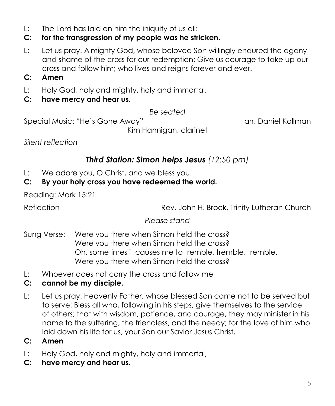- L: The Lord has laid on him the iniquity of us all:
- **C: for the transgression of my people was he stricken.**
- L: Let us pray. Almighty God, whose beloved Son willingly endured the agony and shame of the cross for our redemption: Give us courage to take up our cross and follow him; who lives and reigns forever and ever.
- **C: Amen**
- L: Holy God, holy and mighty, holy and immortal,
- **C: have mercy and hear us.**

*Be seated*

Special Music: "He's Gone Away" arr. Daniel Kallman

Kim Hannigan, clarinet

*Silent reflection*

# *Third Station: Simon helps Jesus (12:50 pm)*

L: We adore you, O Christ, and we bless you.

## **C: By your holy cross you have redeemed the world.**

Reading: Mark 15:21

Reflection **Rev. John H. Brock, Trinity Lutheran Church** 

*Please stand*

- Sung Verse: Were you there when Simon held the cross? Were you there when Simon held the cross? Oh, sometimes it causes me to tremble, tremble, tremble. Were you there when Simon held the cross?
- L: Whoever does not carry the cross and follow me

# **C: cannot be my disciple.**

L: Let us pray. Heavenly Father, whose blessed Son came not to be served but to serve: Bless all who, following in his steps, give themselves to the service of others; that with wisdom, patience, and courage, they may minister in his name to the suffering, the friendless, and the needy; for the love of him who laid down his life for us, your Son our Savior Jesus Christ.

## **C: Amen**

- L: Holy God, holy and mighty, holy and immortal,
- **C: have mercy and hear us.**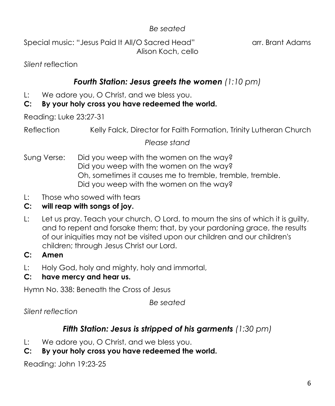## *Be seated*

Special music: "Jesus Paid It All/O Sacred Head" arr. Brant Adams Alison Koch, cello

*Silent* reflection

# *Fourth Station: Jesus greets the women (1:10 pm)*

L: We adore you, O Christ, and we bless you.

## **C: By your holy cross you have redeemed the world.**

Reading: Luke 23:27-31

Reflection Kelly Falck, Director for Faith Formation, Trinity Lutheran Church

*Please stand*

Sung Verse: Did you weep with the women on the way? Did you weep with the women on the way? Oh, sometimes it causes me to tremble, tremble, tremble. Did you weep with the women on the way?

L: Those who sowed with tears

## **C: will reap with songs of joy.**

- L: Let us pray. Teach your church, O Lord, to mourn the sins of which it is guilty, and to repent and forsake them; that, by your pardoning grace, the results of our iniquities may not be visited upon our children and our children's children; through Jesus Christ our Lord.
- **C: Amen**
- L: Holy God, holy and mighty, holy and immortal,
- **C: have mercy and hear us.**

Hymn No. 338: Beneath the Cross of Jesus

*Be seated*

*Silent reflection*

## *Fifth Station: Jesus is stripped of his garments (1:30 pm)*

- L: We adore you, O Christ, and we bless you.
- **C: By your holy cross you have redeemed the world.**

Reading: John 19:23-25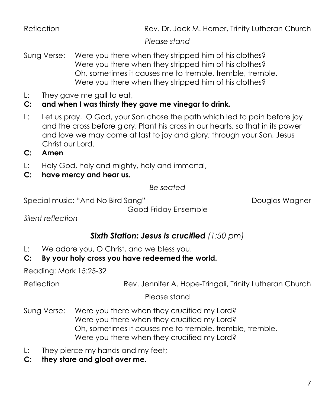Reflection **Rev. Dr. Jack M. Horner, Trinity Lutheran Church** 

*Please stand*

Sung Verse: Were you there when they stripped him of his clothes? Were you there when they stripped him of his clothes? Oh, sometimes it causes me to tremble, tremble, tremble. Were you there when they stripped him of his clothes?

L: They gave me gall to eat,

#### **C: and when I was thirsty they gave me vinegar to drink.**

- L: Let us pray. O God, your Son chose the path which led to pain before joy and the cross before glory. Plant his cross in our hearts, so that in its power and love we may come at last to joy and glory; through your Son, Jesus Christ our Lord.
- **C: Amen**
- L: Holy God, holy and mighty, holy and immortal,
- **C: have mercy and hear us.**

*Be seated*

Special music: "And No Bird Sang" Douglas Wagner

Good Friday Ensemble

*Silent reflection*

# *Sixth Station: Jesus is crucified (1:50 pm)*

L: We adore you, O Christ, and we bless you.

#### **C: By your holy cross you have redeemed the world.**

Reading: Mark 15:25-32

Reflection **Rev. Jennifer A. Hope-Tringali, Trinity Lutheran Church** 

#### Please stand

- Sung Verse: Were you there when they crucified my Lord? Were you there when they crucified my Lord? Oh, sometimes it causes me to tremble, tremble, tremble. Were you there when they crucified my Lord?
- L: They pierce my hands and my feet;
- **C: they stare and gloat over me.**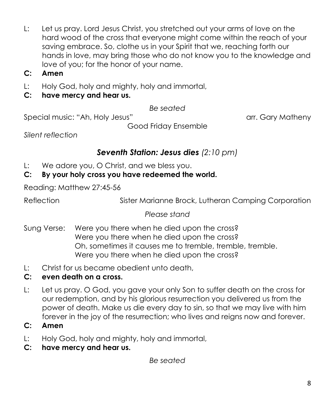- L: Let us pray. Lord Jesus Christ, you stretched out your arms of love on the hard wood of the cross that everyone might come within the reach of your saving embrace. So, clothe us in your Spirit that we, reaching forth our hands in love, may bring those who do not know you to the knowledge and love of you; for the honor of your name.
- **C: Amen**
- L: Holy God, holy and mighty, holy and immortal,
- **C: have mercy and hear us.**

*Be seated*

Special music: "Ah, Holy Jesus" arr. Gary Matheny

Good Friday Ensemble

*Silent reflection*

# *Seventh Station: Jesus dies (2:10 pm)*

L: We adore you, O Christ, and we bless you.

## **C: By your holy cross you have redeemed the world.**

Reading: Matthew 27:45-56

Reflection Sister Marianne Brock, Lutheran Camping Corporation

*Please stand*

- Sung Verse: Were you there when he died upon the cross? Were you there when he died upon the cross? Oh, sometimes it causes me to tremble, tremble, tremble. Were you there when he died upon the cross?
- L: Christ for us became obedient unto death,

## **C: even death on a cross.**

- L: Let us pray. O God, you gave your only Son to suffer death on the cross for our redemption, and by his glorious resurrection you delivered us from the power of death. Make us die every day to sin, so that we may live with him forever in the joy of the resurrection; who lives and reigns now and forever.
- **C: Amen**
- L: Holy God, holy and mighty, holy and immortal,
- **C: have mercy and hear us.**

*Be seated*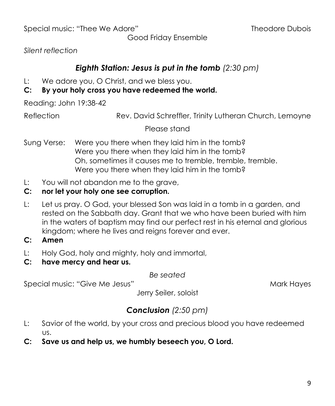Special music: "Thee We Adore" Theodore Dubois

#### Good Friday Ensemble

*Silent reflection*

# *Eighth Station: Jesus is put in the tomb (2:30 pm)*

L: We adore you, O Christ, and we bless you.

#### **C: By your holy cross you have redeemed the world.**

Reading: John 19:38-42

Reflection **Rev. David Schreffler, Trinity Lutheran Church, Lemoyne** 

Please stand

Sung Verse: Were you there when they laid him in the tomb? Were you there when they laid him in the tomb? Oh, sometimes it causes me to tremble, tremble, tremble. Were you there when they laid him in the tomb?

L: You will not abandon me to the grave,

#### **C: nor let your holy one see corruption.**

- L: Let us pray. O God, your blessed Son was laid in a tomb in a garden, and rested on the Sabbath day. Grant that we who have been buried with him in the waters of baptism may find our perfect rest in his eternal and glorious kingdom; where he lives and reigns forever and ever.
- **C: Amen**
- L: Holy God, holy and mighty, holy and immortal,
- **C: have mercy and hear us.**

*Be seated*

Special music: "Give Me Jesus" Mark Hayes

Jerry Seiler, soloist

# *Conclusion (2:50 pm)*

- L: Savior of the world, by your cross and precious blood you have redeemed us.
- **C: Save us and help us, we humbly beseech you, O Lord.**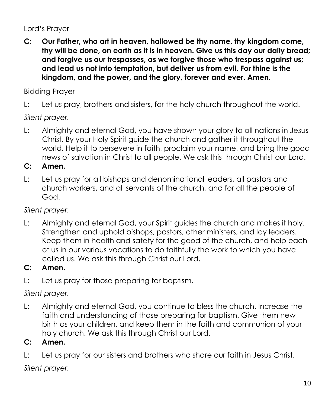## Lord's Prayer

**C: Our Father, who art in heaven, hallowed be thy name, thy kingdom come, thy will be done, on earth as it is in heaven. Give us this day our daily bread; and forgive us our trespasses, as we forgive those who trespass against us; and lead us not into temptation, but deliver us from evil. For thine is the kingdom, and the power, and the glory, forever and ever. Amen.**

## Bidding Prayer

L: Let us pray, brothers and sisters, for the holy church throughout the world.

#### *Silent prayer.*

L: Almighty and eternal God, you have shown your glory to all nations in Jesus Christ. By your Holy Spirit guide the church and gather it throughout the world. Help it to persevere in faith, proclaim your name, and bring the good news of salvation in Christ to all people. We ask this through Christ our Lord.

#### **C: Amen.**

L: Let us pray for all bishops and denominational leaders, all pastors and church workers, and all servants of the church, and for all the people of God.

#### *Silent prayer.*

L: Almighty and eternal God, your Spirit guides the church and makes it holy. Strengthen and uphold bishops, pastors, other ministers, and lay leaders. Keep them in health and safety for the good of the church, and help each of us in our various vocations to do faithfully the work to which you have called us. We ask this through Christ our Lord.

#### **C: Amen.**

L: Let us pray for those preparing for baptism.

#### *Silent prayer.*

L: Almighty and eternal God, you continue to bless the church. Increase the faith and understanding of those preparing for baptism. Give them new birth as your children, and keep them in the faith and communion of your holy church. We ask this through Christ our Lord.

#### **C: Amen.**

L: Let us pray for our sisters and brothers who share our faith in Jesus Christ.

*Silent prayer.*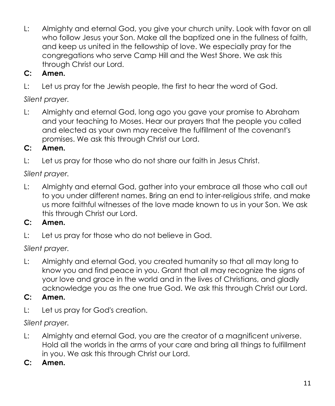L: Almighty and eternal God, you give your church unity. Look with favor on all who follow Jesus your Son. Make all the baptized one in the fullness of faith, and keep us united in the fellowship of love. We especially pray for the congregations who serve Camp Hill and the West Shore. We ask this through Christ our Lord.

# **C: Amen.**

L: Let us pray for the Jewish people, the first to hear the word of God.

## *Silent prayer.*

L: Almighty and eternal God, long ago you gave your promise to Abraham and your teaching to Moses. Hear our prayers that the people you called and elected as your own may receive the fulfillment of the covenant's promises. We ask this through Christ our Lord.

## **C: Amen.**

L: Let us pray for those who do not share our faith in Jesus Christ.

## *Silent prayer.*

L: Almighty and eternal God, gather into your embrace all those who call out to you under different names. Bring an end to inter-religious strife, and make us more faithful witnesses of the love made known to us in your Son. We ask this through Christ our Lord.

## **C: Amen.**

L: Let us pray for those who do not believe in God.

# *Silent prayer.*

L: Almighty and eternal God, you created humanity so that all may long to know you and find peace in you. Grant that all may recognize the signs of your love and grace in the world and in the lives of Christians, and gladly acknowledge you as the one true God. We ask this through Christ our Lord.

# **C: Amen.**

L: Let us pray for God's creation.

# *Silent prayer.*

- L: Almighty and eternal God, you are the creator of a magnificent universe. Hold all the worlds in the arms of your care and bring all things to fulfillment in you. We ask this through Christ our Lord.
- **C: Amen.**